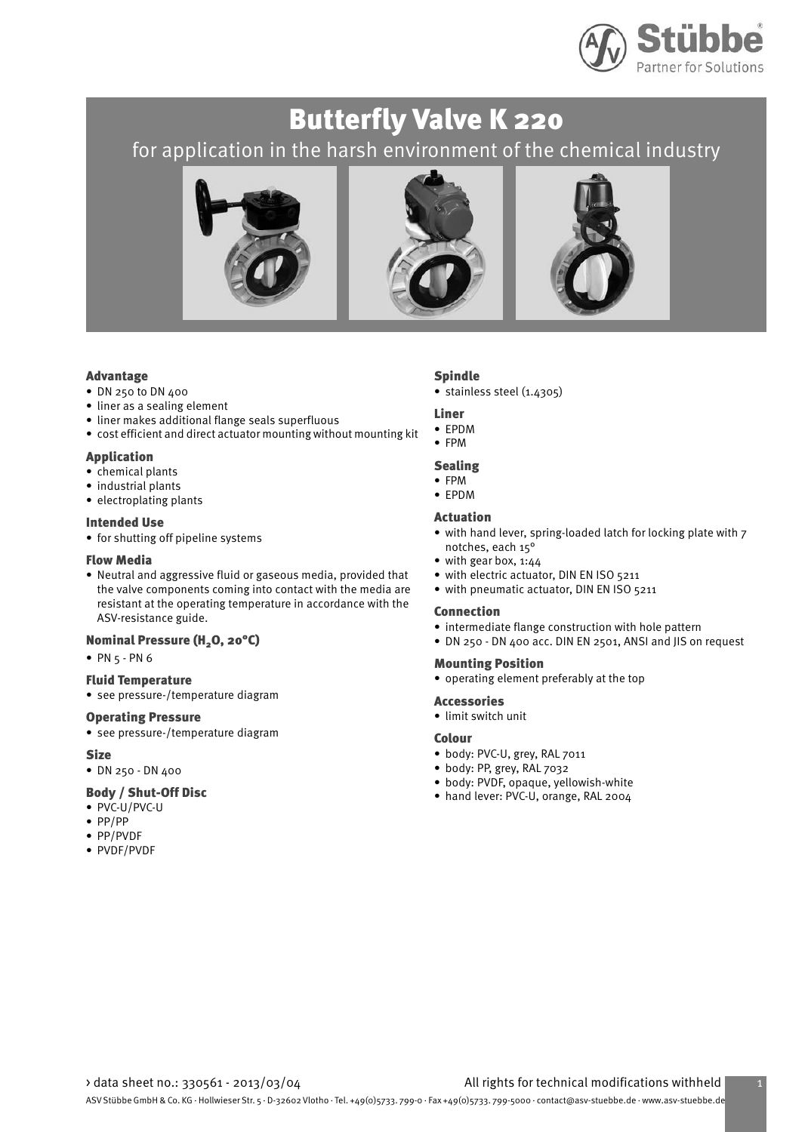

# Butterfly Valve K 220 for application in the harsh environment of the chemical industry







#### Advantage

- DN 250 to DN 400
- liner as a sealing element
- liner makes additional flange seals superfluous
- cost efficient and direct actuator mounting without mounting kit

#### Application

- chemical plants
- industrial plants
- electroplating plants

#### Intended Use

• for shutting off pipeline systems

#### Flow Media

• Neutral and aggressive fluid or gaseous media, provided that the valve components coming into contact with the media are resistant at the operating temperature in accordance with the ASV-resistance guide.

#### Nominal Pressure (H<sub>2</sub>O, 20°C)

• PN 5 - PN 6

#### Fluid Temperature

• see pressure-/temperature diagram

#### Operating Pressure

• see pressure-/temperature diagram

#### **Size**

• DN 250 - DN 400

#### Body / Shut-Off Disc

- PVC-U/PVC-U
- PP/PP
- PP/PVDF
- PVDF/PVDF

### Spindle

• stainless steel (1.4305)

#### Liner

- EPDM
- FPM

### Sealing

- FPM
- EPDM

### Actuation

- with hand lever, spring-loaded latch for locking plate with 7 notches, each 15°
- with gear box, 1:44
- with electric actuator, DIN EN ISO 5211
- with pneumatic actuator, DIN EN ISO 5211

#### Connection

- intermediate flange construction with hole pattern
- DN 250 DN 400 acc. DIN EN 2501, ANSI and JIS on request

## • operating element preferably at the top

Mounting Position

- Accessories
- limit switch unit

#### Colour

- body: PVC-U, grey, RAL 7011
- body: PP, grey, RAL 7032
- body: PVDF, opaque, yellowish-white
- hand lever: PVC-U, orange, RAL 2004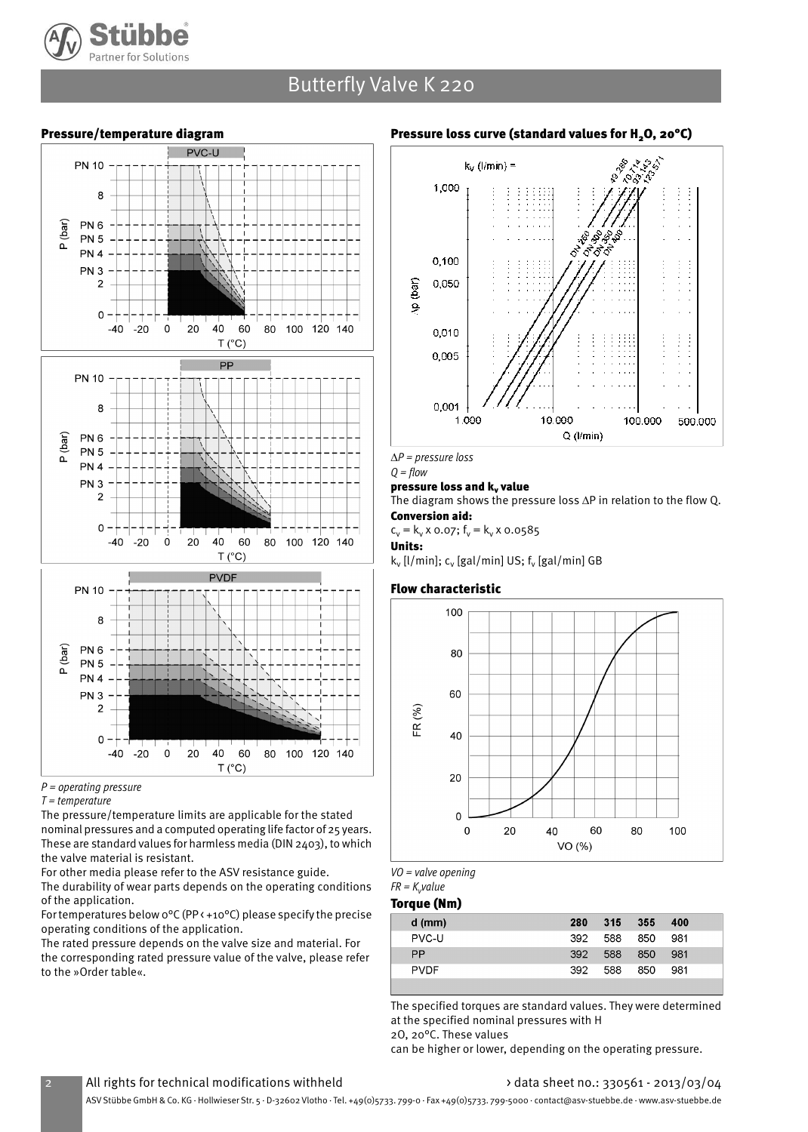

## Butterfly Valve K 220



### Pressure/temperature diagram

 $P =$  operating pressure

 $T = temperature$ 

The pressure/temperature limits are applicable for the stated nominal pressures and a computed operating life factor of 25 years. These are standard values for harmless media (DIN 2403), to which the valve material is resistant.

For other media please refer to the ASV resistance guide.

The durability of wear parts depends on the operating conditions of the application.

For temperatures below 0°C (PP < +10°C) please specify the precise operating conditions of the application.

The rated pressure depends on the valve size and material. For the corresponding rated pressure value of the valve, please refer to the »Order table«.

### Pressure loss curve (standard values for H<sub>2</sub>O, 20°C)



*∆*P = pressure loss  $Q = flow$ 

### pressure loss and k, value

The diagram shows the pressure loss ∆P in relation to the flow Q. Conversion aid:

 $c_v = k_v \times 0.07$ ;  $f_v = k_v \times 0.0585$ 

Units:

k<sub>v</sub> [l/min]; c<sub>v</sub> [gal/min] US; f<sub>v</sub> [gal/min] GB

#### Flow characteristic



VO = valve opening

FR =  $K_{\mathsf{v}}$ value

#### Torque (Nm)

| $d$ (mm)    | 280 | 315 | 355 | 400 |
|-------------|-----|-----|-----|-----|
| PVC-U       | 392 | 588 | 850 | 981 |
| <b>PP</b>   | 392 | 588 | 850 | 981 |
| <b>PVDF</b> | 392 | 588 | 850 | 981 |
|             |     |     |     |     |

The specified torques are standard values. They were determined at the specified nominal pressures with H 2O, 20°C. These values

can be higher or lower, depending on the operating pressure.

### All rights for technical modifications withheld  $\longrightarrow$  data sheet no.: 330561 - 2013/03/04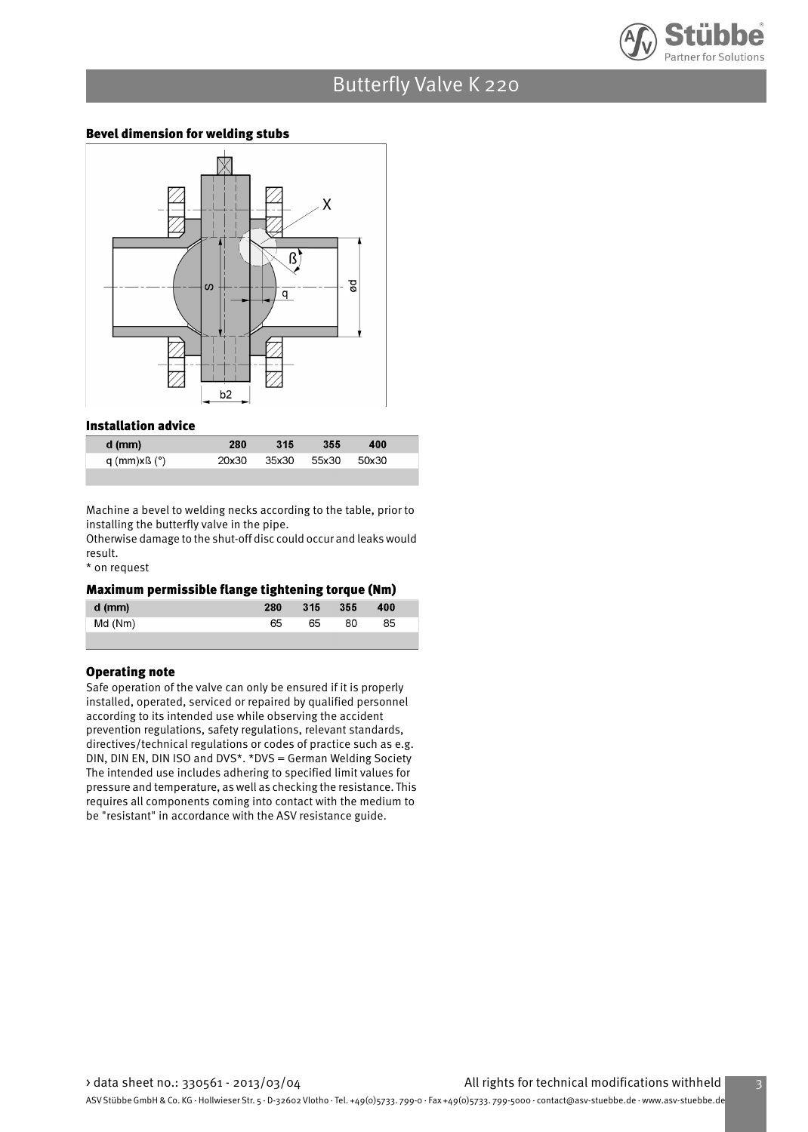

## Butterfly Valve K 220

### Bevel dimension for welding stubs



#### Installation advice

| d (mm)       | 280   | 315   | 355   | 400   |  |
|--------------|-------|-------|-------|-------|--|
| q (mm)xß (°) | 20x30 | 35x30 | 55x30 | 50x30 |  |
|              |       |       |       |       |  |

Machine a bevel to welding necks according to the table, prior to installing the butterfly valve in the pipe.

Otherwise damage to the shut-off disc could occur and leaks would result.

\* on request

#### Maximum permissible flange tightening torque (Nm)

| .<br>$d$ (mm) | 280 | 315 | 355 | 400 |  |
|---------------|-----|-----|-----|-----|--|
| Md (Nm)       | 65  | 65  | 80  | 85  |  |
|               |     |     |     |     |  |

#### Operating note

Safe operation of the valve can only be ensured if it is properly installed, operated, serviced or repaired by qualified personnel according to its intended use while observing the accident prevention regulations, safety regulations, relevant standards, directives/technical regulations or codes of practice such as e.g. DIN, DIN EN, DIN ISO and DVS\*. \*DVS = German Welding Society The intended use includes adhering to specified limit values for pressure and temperature, as well as checking the resistance. This requires all components coming into contact with the medium to be "resistant" in accordance with the ASV resistance guide.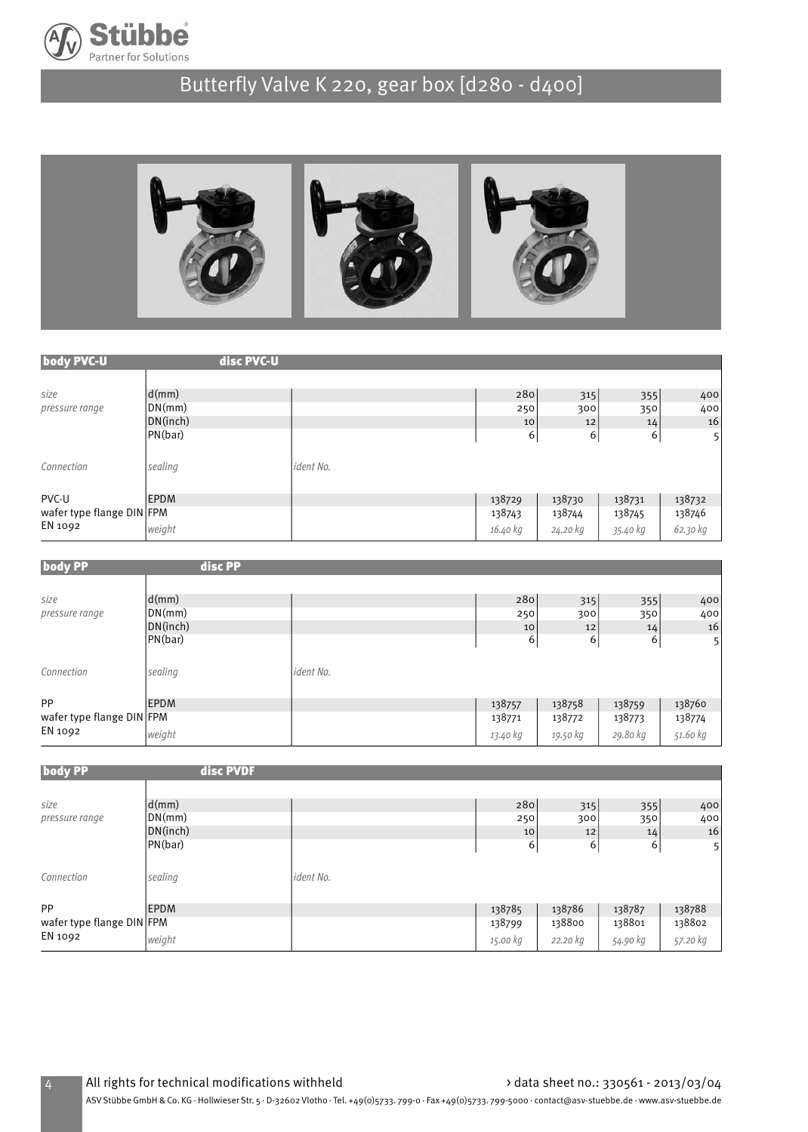

# Butterfly Valve K 220, gear box [d280 - d400]



| body PVC-U                | disc PVC-U                |           |          |          |          |                |
|---------------------------|---------------------------|-----------|----------|----------|----------|----------------|
|                           |                           |           |          |          |          |                |
| size                      | $\mathsf{d}(\mathsf{mm})$ |           | 280      | 315      | 355      | 400            |
| pressure range            | DN(mm)                    |           | 250      | 300      | 350      | 400            |
|                           | DN(inch)                  |           | 10       | 12       | 14       | 16             |
|                           | PN(bar)                   |           | 6        | 6        | 6        | 5 <sup>1</sup> |
| Connection                | sealing                   | ident No. |          |          |          |                |
| PVC-U                     | <b>EPDM</b>               |           | 138729   | 138730   | 138731   | 138732         |
| wafer type flange DIN FPM |                           |           | 138743   | 138744   | 138745   | 138746         |
| EN 1092                   | weight                    |           | 16.40 kg | 24.20 kg | 35.40 kg | 62.30 kg       |

| <b>body PP</b>            | disc PP     |           |          |          |          |          |
|---------------------------|-------------|-----------|----------|----------|----------|----------|
|                           |             |           |          |          |          |          |
| size                      | d(mm)       |           | 280      | 315      | 355      | 400      |
| pressure range            | DN(mm)      |           | 250      | 300      | 350      | 400      |
|                           | DN(inch)    |           | 10       | 12       | 14       | 16       |
|                           | PN(bar)     |           | 6        | 6        | 6        | 5        |
| Connection                | sealing     | ident No. |          |          |          |          |
| <b>PP</b>                 | <b>EPDM</b> |           | 138757   | 138758   | 138759   | 138760   |
| wafer type flange DIN FPM |             |           | 138771   | 138772   | 138773   | 138774   |
| EN 1092                   | weight      |           | 13.40 kg | 19.50 kg | 29.80 kg | 51.60 kg |

| <b>body PP</b>            | disc PVDF                 |           |          |          |          |                |
|---------------------------|---------------------------|-----------|----------|----------|----------|----------------|
|                           |                           |           |          |          |          |                |
| size                      | $\mathsf{d}(m\mathsf{m})$ |           | 280      | 315      | 355      | 400            |
| pressure range            | DN(mm)                    |           | 250      | 300      | 350      | 400            |
|                           | DN(inch)                  |           | 10       | 12       | 14       | 16             |
|                           | PN(bar)                   |           | 6        | 6        | 6        | 5 <sup>1</sup> |
| Connection                | sealing                   | ident No. |          |          |          |                |
| <b>PP</b>                 | <b>EPDM</b>               |           | 138785   | 138786   | 138787   | 138788         |
| wafer type flange DIN FPM |                           |           | 138799   | 138800   | 138801   | 138802         |
| EN 1092                   | weight                    |           | 15.00 kg | 22.20 kg | 54.90 kg | 57.20 kg       |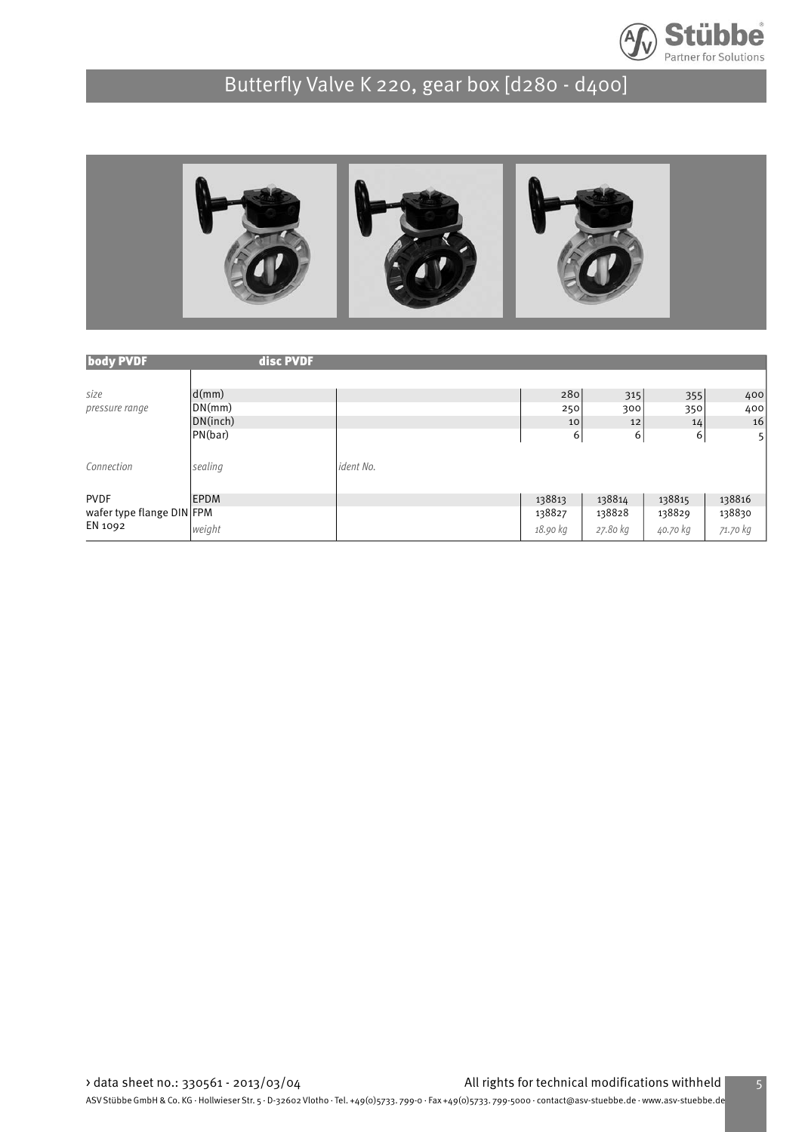

# Butterfly Valve K 220, gear box [d280 - d400]



| <b>body PVDF</b>          | disc PVDF   |           |          |          |          |                |
|---------------------------|-------------|-----------|----------|----------|----------|----------------|
|                           |             |           |          |          |          |                |
| size                      | d(mm)       |           | 280      | 315      | 355      | 400            |
| pressure range            | DN(mm)      |           | 250      | 300      | 350      | 400            |
|                           | DN(inch)    |           | 10       | 12       | 14       | 16             |
|                           | PN(bar)     |           | 6        | 6        | 6        | 5 <sup>1</sup> |
|                           |             |           |          |          |          |                |
| Connection                | sealing     | ident No. |          |          |          |                |
|                           |             |           |          |          |          |                |
| <b>PVDF</b>               | <b>EPDM</b> |           | 138813   | 138814   | 138815   | 138816         |
| wafer type flange DIN FPM |             |           | 138827   | 138828   | 138829   | 138830         |
| EN 1092                   | weight      |           | 18.90 kg | 27.80 kg | 40.70 kg | 71.70 kg       |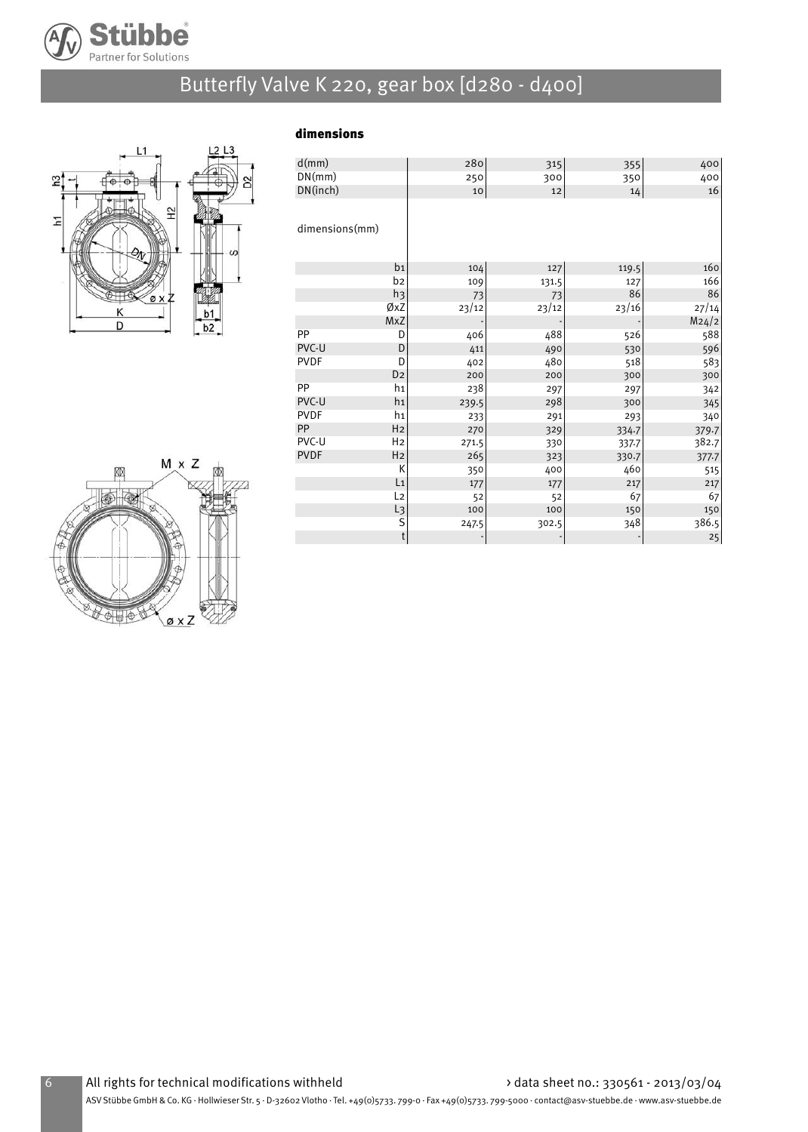

# Butterfly Valve K 220, gear box [d280 - d400]



### dimensions

| d(mm)          |                | 280   | 315   | 355   | 400   |
|----------------|----------------|-------|-------|-------|-------|
| DN(mm)         |                | 250   | 300   | 350   | 400   |
| DN(inch)       |                | 10    | 12    | 14    | 16    |
|                |                |       |       |       |       |
| dimensions(mm) |                |       |       |       |       |
|                | b <sub>1</sub> | 104   | 127   | 119.5 | 160   |
|                | b2             | 109   | 131.5 | 127   | 166   |
|                | h <sub>3</sub> | 73    | 73    | 86    | 86    |
|                | ØxZ            | 23/12 | 23/12 | 23/16 | 27/14 |
|                | MxZ            |       |       |       | M24/2 |
| PP             | D              | 406   | 488   | 526   | 588   |
| PVC-U          | D              | 411   | 490   | 530   | 596   |
| <b>PVDF</b>    | D              | 402   | 480   | 518   | 583   |
|                | D <sub>2</sub> | 200   | 200   | 300   | 300   |
| PP             | h1             | 238   | 297   | 297   | 342   |
| PVC-U          | h <sub>1</sub> | 239.5 | 298   | 300   | 345   |
| <b>PVDF</b>    | h1             | 233   | 291   | 293   | 340   |
| PP             | H <sub>2</sub> | 270   | 329   | 334.7 | 379.7 |
| PVC-U          | H <sub>2</sub> | 271.5 | 330   | 337.7 | 382.7 |
| <b>PVDF</b>    | H <sub>2</sub> | 265   | 323   | 330.7 | 377.7 |
|                | К              | 350   | 400   | 460   | 515   |
|                | L <sub>1</sub> | 177   | 177   | 217   | 217   |
|                | L <sub>2</sub> | 52    | 52    | 67    | 67    |
|                | L3             | 100   | 100   | 150   | 150   |
|                | S              | 247.5 | 302.5 | 348   | 386.5 |
|                | $\mathsf t$    |       |       |       | 25    |

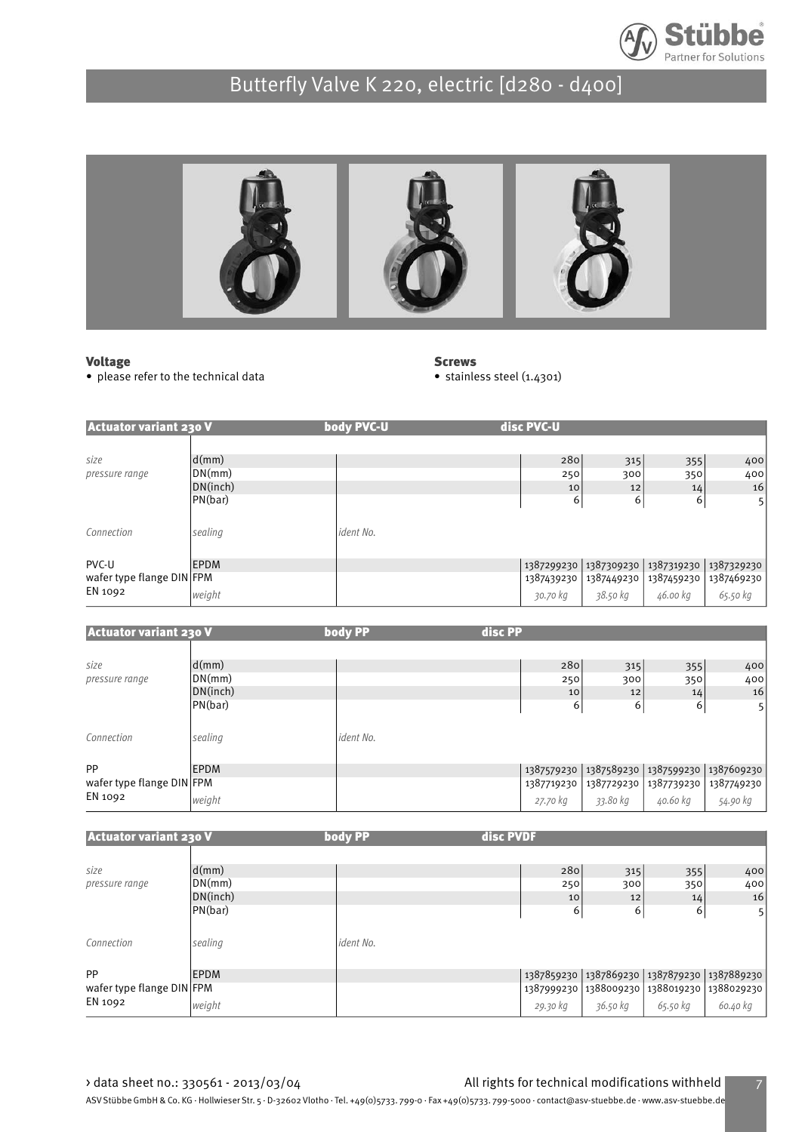



#### Voltage

• please refer to the technical data

**Screws** 

• stainless steel (1.4301)

| <b>Actuator variant 230 V</b> |             | body PVC-U | disc PVC-U |                         |            |                |
|-------------------------------|-------------|------------|------------|-------------------------|------------|----------------|
|                               |             |            |            |                         |            |                |
| size                          | d(mm)       |            | 280        | 315                     | 355        | 400            |
| pressure range                | DN(mm)      |            | 250        | 300                     | 350        | 400            |
|                               | DN(inch)    |            | 10         | 12                      | 14         | 16             |
|                               | PN(bar)     |            | 6          | 6                       | 6          | 5 <sub>l</sub> |
|                               |             |            |            |                         |            |                |
| Connection                    | sealing     | ident No.  |            |                         |            |                |
|                               |             |            |            |                         |            |                |
| PVC-U                         | <b>EPDM</b> |            |            | 1387299230   1387309230 | 1387319230 | 1387329230     |
| wafer type flange DIN FPM     |             |            | 1387439230 | 1387449230              | 1387459230 | 1387469230     |
| EN 1092                       | weight      |            | 30.70 kg   | 38.50 kg                | 46.00 kg   | 65.50 kg       |

| <b>Actuator variant 230 V</b> |             | body PP   | disc PP    |            |                       |                       |
|-------------------------------|-------------|-----------|------------|------------|-----------------------|-----------------------|
|                               |             |           |            |            |                       |                       |
| size                          | d(mm)       |           | 280        | 315        | 355                   | 400                   |
| pressure range                | DN(mm)      |           | 250        | 300        | 350                   | 400                   |
|                               | DN(inch)    |           | 10         | 12         | 14                    | 16                    |
|                               | PN(bar)     |           | 6          | 6          | 6                     | 5                     |
|                               |             |           |            |            |                       |                       |
| Connection                    | sealing     | ident No. |            |            |                       |                       |
|                               |             |           |            |            |                       |                       |
| <b>PP</b>                     | <b>EPDM</b> |           | 1387579230 | 1387589230 |                       | 1387599230 1387609230 |
| wafer type flange DIN FPM     |             |           | 1387719230 | 1387729230 | 1387739230 1387749230 |                       |
| EN 1092                       | weight      |           | 27.70 kg   | 33.80 kg   | 40.60 kg              | 54.90 kg              |

| <b>Actuator variant 230 V</b> |             | body PP   | disc PVDF |          |          |                                                   |
|-------------------------------|-------------|-----------|-----------|----------|----------|---------------------------------------------------|
|                               |             |           |           |          |          |                                                   |
| size                          | d(mm)       |           | 280       | 315      | 355      | 400                                               |
| pressure range                | DN(mm)      |           | 250       | 300      | 350      | 400                                               |
|                               | DN(inch)    |           | 10        | 12       | 14       | 16                                                |
|                               | PN(bar)     |           | 6         | 6        | 6        | 51                                                |
|                               |             |           |           |          |          |                                                   |
| Connection                    | sealing     | ident No. |           |          |          |                                                   |
|                               |             |           |           |          |          |                                                   |
| <b>PP</b>                     | <b>EPDM</b> |           |           |          |          | 1387859230   1387869230   1387879230   1387889230 |
| wafer type flange DIN FPM     |             |           |           |          |          | 1387999230   1388009230   1388019230   1388029230 |
| EN 1092                       | weight      |           | 29.30 kg  | 36.50 kg | 65.50 kg | 60.40 kg                                          |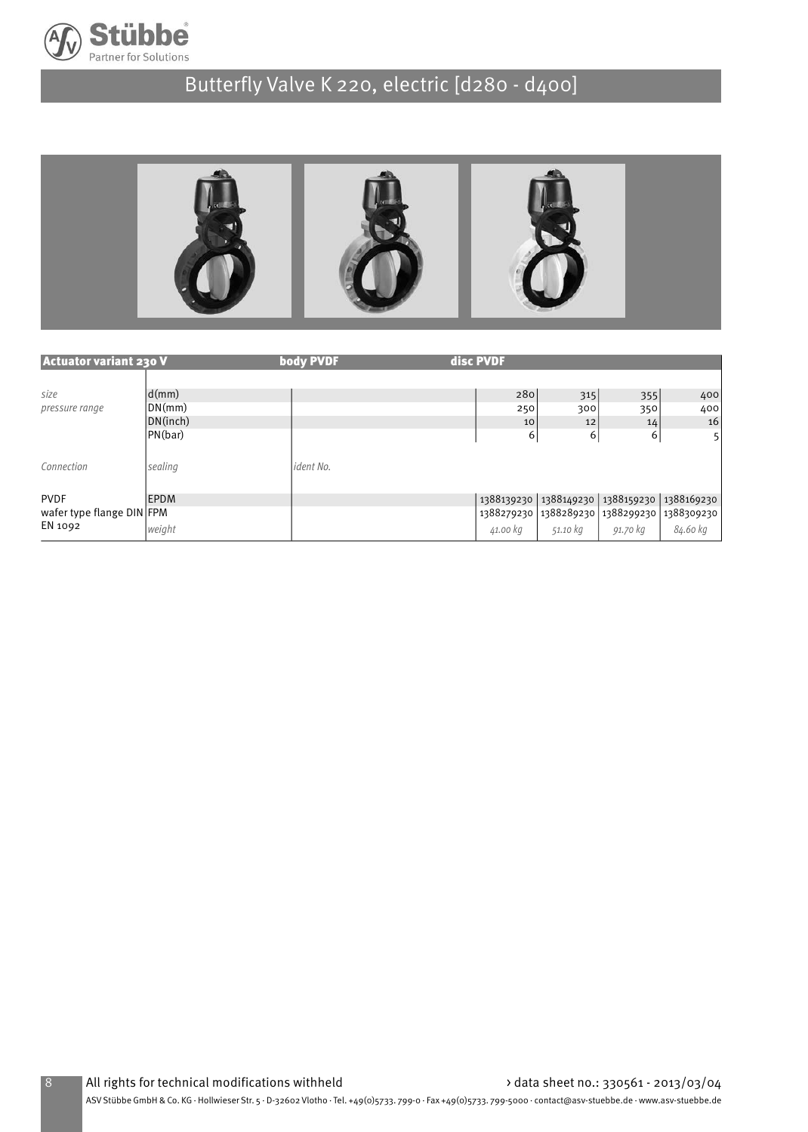



| <b>Actuator variant 230 V</b> |             | body PVDF | disc PVDF |                                                   |          |                |
|-------------------------------|-------------|-----------|-----------|---------------------------------------------------|----------|----------------|
|                               |             |           |           |                                                   |          |                |
| size                          | d(mm)       |           | 280       | 315                                               | 355      | 400            |
| pressure range                | DN(mm)      |           | 250       | 300                                               | 350      | 400            |
|                               | DN(inch)    |           | 10        | 12                                                | 14       | 16             |
|                               | PN(bar)     |           | 6         | 6                                                 | 6        | 5 <sup>1</sup> |
|                               |             |           |           |                                                   |          |                |
| Connection                    | sealing     | ident No. |           |                                                   |          |                |
|                               |             |           |           |                                                   |          |                |
| <b>PVDF</b>                   | <b>EPDM</b> |           |           | 1388139230   1388149230   1388159230   1388169230 |          |                |
| wafer type flange DIN FPM     |             |           |           | 1388279230 1388289230 1388299230 1388309230       |          |                |
| EN 1092                       | weight      |           | 41.00 kg  | 51.10 kg                                          | 91.70 kg | 84.60 kg       |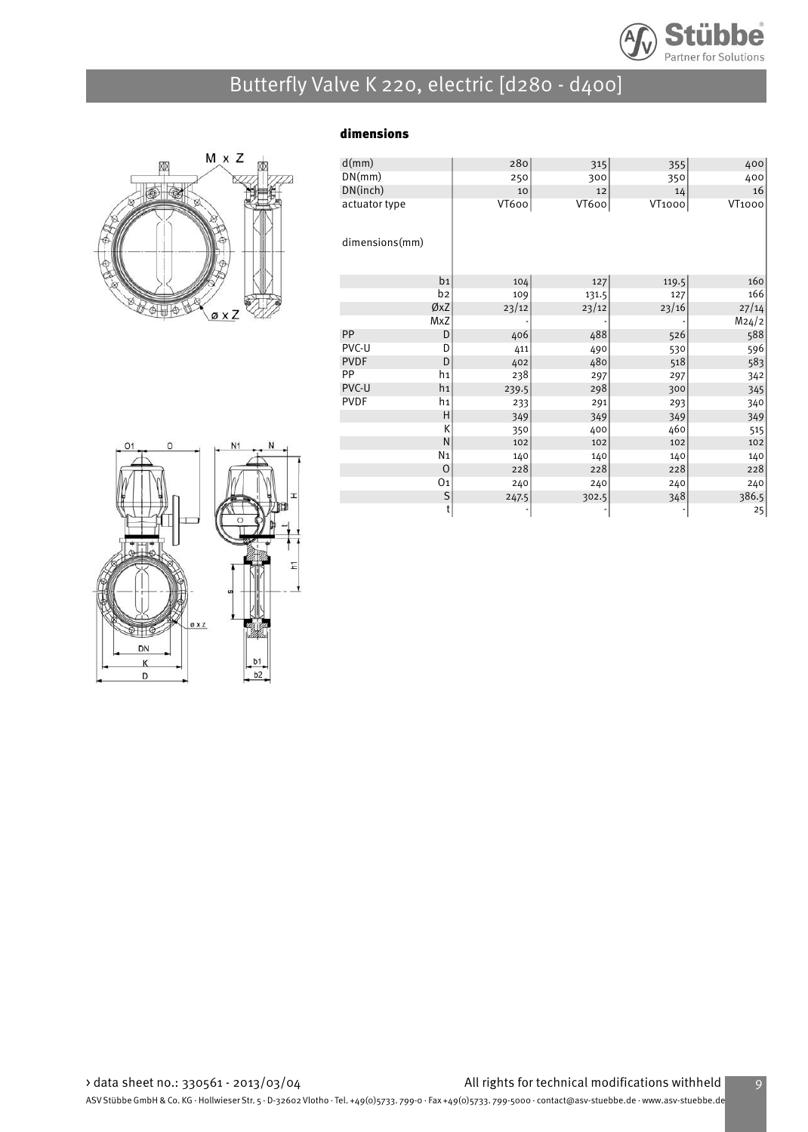



| dimensions |
|------------|
|------------|

| d(mm)          |                | 280   | 315   | 355    | 400           |
|----------------|----------------|-------|-------|--------|---------------|
| DN(mm)         |                | 250   | 300   | 350    | 400           |
| DN(inch)       |                | 10    | 12    | 14     | 16            |
| actuator type  |                | VT600 | VT600 | VT1000 | <b>VT1000</b> |
|                |                |       |       |        |               |
| dimensions(mm) |                |       |       |        |               |
|                |                |       |       |        |               |
|                |                |       |       |        |               |
|                | b <sub>1</sub> | 104   | 127   | 119.5  | 160           |
|                | b2             | 109   | 131.5 | 127    | 166           |
|                | ØxZ            | 23/12 | 23/12 | 23/16  | 27/14         |
|                | MxZ            |       |       |        | M24/2         |
| PP             | D              | 406   | 488   | 526    | 588           |
| PVC-U          | D              | 411   | 490   | 530    | 596           |
| <b>PVDF</b>    | D              | 402   | 480   | 518    | 583           |
| PP             | h1             | 238   | 297   | 297    | 342           |
| PVC-U          | h <sub>1</sub> | 239.5 | 298   | 300    | 345           |
| <b>PVDF</b>    | h1             | 233   | 291   | 293    | 340           |
|                | Η              | 349   | 349   | 349    | 349           |
|                | K              | 350   | 400   | 460    | 515           |
|                | ${\sf N}$      | 102   | 102   | 102    | 102           |
|                | N <sub>1</sub> | 140   | 140   | 140    | 140           |
|                | $\Omega$       | 228   | 228   | 228    | 228           |
|                | 01             | 240   | 240   | 240    | 240           |
|                | S              | 247.5 | 302.5 | 348    | 386.5         |
|                | t              |       |       |        | 25            |

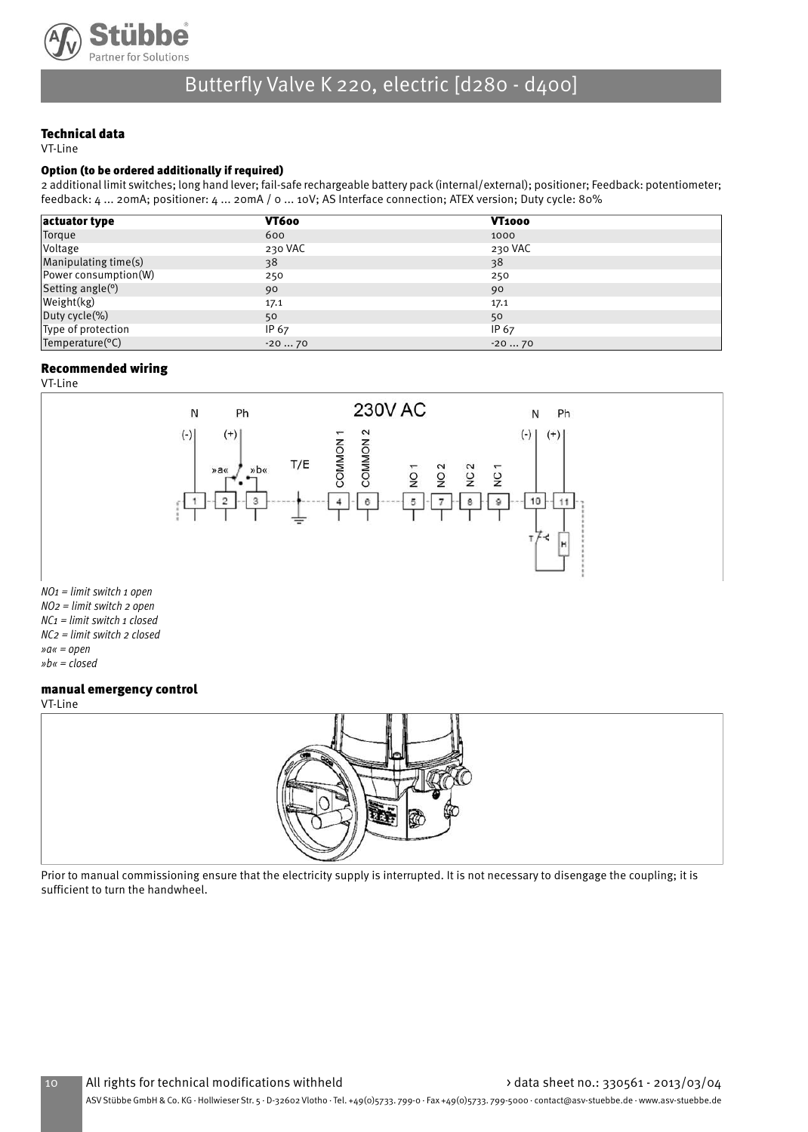

### Technical data

VT-Line

#### Option (to be ordered additionally if required)

2 additional limit switches; long hand lever; fail-safe rechargeable battery pack (internal/external); positioner; Feedback: potentiometer; feedback: 4 ... 20mA; positioner: 4 ... 20mA / 0 ... 10V; AS Interface connection; ATEX version; Duty cycle: 80%

| actuator type                 | VT600   | <b>VT1000</b> |  |
|-------------------------------|---------|---------------|--|
| Torque                        | 600     | 1000          |  |
| <i><b>Voltage</b></i>         | 230 VAC | 230 VAC       |  |
| Manipulating time(s)          | 38      | 38            |  |
| Power consumption(W)          | 250     | 250           |  |
| Setting angle( <sup>o</sup> ) | 90      | 90            |  |
| Weight(kg)                    | 17.1    | 17.1          |  |
| Duty cycle(%)                 | 50      | 50            |  |
| Type of protection            | IP 67   | IP 67         |  |
| Temperature(°C)               | $-2070$ | $-2070$       |  |

### Recommended wiring

VT-Line



 $NO<sub>1</sub>$  = limit switch 1 open NO2 = limit switch 2 open  $NC_1$  = limit switch 1 closed NC2 = limit switch 2 closed »a« = open

»b« = closed

#### manual emergency control

VT-Line



Prior to manual commissioning ensure that the electricity supply is interrupted. It is not necessary to disengage the coupling; it is sufficient to turn the handwheel.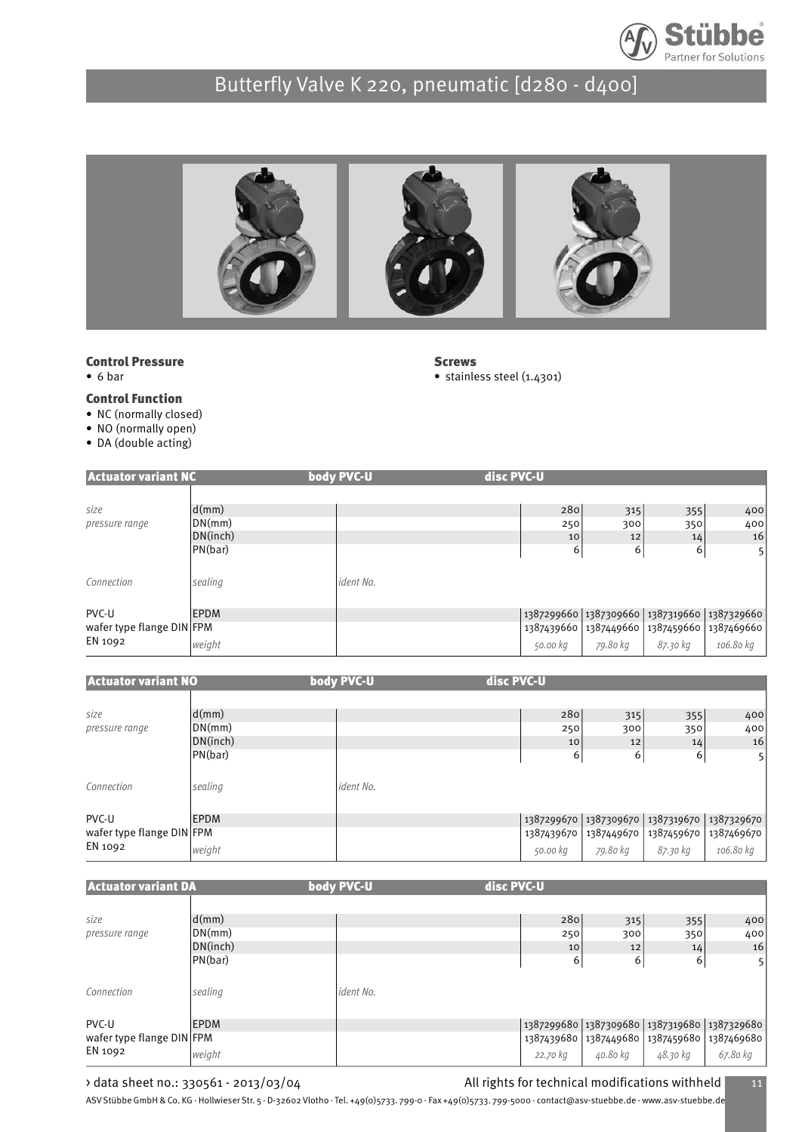



**Screws** 

• stainless steel (1.4301)

#### Control Pressure

• 6 bar

#### Control Function

- NC (normally closed)
- NO (normally open)
- DA (double acting)

| <b>Actuator variant NC</b>           |             | body PVC-U | disc PVC-U |                                             |          |                |
|--------------------------------------|-------------|------------|------------|---------------------------------------------|----------|----------------|
|                                      |             |            |            |                                             |          |                |
| size                                 | d(mm)       |            | 280        | 315                                         | 355      | 400            |
| pressure range                       | DN(mm)      |            | 250        | 300                                         | 350      | 400            |
|                                      | DN(inch)    |            | 10         | 12                                          | 14       | 16             |
|                                      | PN(bar)     |            | 6          | 6                                           | 6        | 5 <sup>1</sup> |
| Connection                           | sealing     | ident No.  |            |                                             |          |                |
| PVC-U                                | <b>EPDM</b> |            |            | 1387299660 1387309660 1387319660 1387329660 |          |                |
| wafer type flange DIN FPM<br>EN 1092 |             |            |            | 1387439660 1387449660 1387459660 1387469660 |          |                |
|                                      | weight      |            | 50.00 kg   | 79.80 kg                                    | 87.30 kg | 106.80 kg      |

| <b>Actuator variant NO</b>           |             | body PVC-U | disc PVC-U |                       |            |                |
|--------------------------------------|-------------|------------|------------|-----------------------|------------|----------------|
|                                      |             |            |            |                       |            |                |
| size                                 | d(mm)       |            | 280        | 315                   | 355        | 400            |
| pressure range                       | DN(mm)      |            | 250        | 300                   | 350        | 400            |
|                                      | DN(inch)    |            | 10         | 12                    | 14         | 16             |
|                                      | PN(bar)     |            | 6          | 6                     | 6          | 5 <sup>1</sup> |
|                                      |             |            |            |                       |            |                |
| Connection                           | sealing     | ident No.  |            |                       |            |                |
|                                      |             |            |            |                       |            |                |
| PVC-U                                | <b>EPDM</b> |            |            | 1387299670 1387309670 | 1387319670 | 1387329670     |
| wafer type flange DIN FPM<br>EN 1092 |             |            | 1387439670 | 1387449670            | 1387459670 | 1387469670     |
|                                      | weight      |            | 50.00 kg   | 79.80 kg              | 87.30 kg   | 106.80 kg      |

| <b>Actuator variant DA</b> |             | body PVC-U | disc PVC-U                                  |          |          |                                             |
|----------------------------|-------------|------------|---------------------------------------------|----------|----------|---------------------------------------------|
|                            |             |            |                                             |          |          |                                             |
| size                       | d(mm)       |            | 280                                         | 315      | 355      | 400                                         |
| pressure range             | DN(mm)      |            | 250                                         | 300      | 350      | 400                                         |
|                            | DN(inch)    |            | 10                                          | 12       | 14       | 16                                          |
|                            | PN(bar)     |            | 6                                           | 6        | 6        | 5                                           |
| Connection                 | sealing     | ident No.  |                                             |          |          |                                             |
| PVC-U                      | <b>EPDM</b> |            | 1387299680 1387309680 1387319680 1387329680 |          |          |                                             |
| wafer type flange DIN FPM  |             |            |                                             |          |          | 1387439680 1387449680 1387459680 1387469680 |
| EN 1092                    | weight      |            | 22.70 kg                                    | 40.80 kg | 48.30 kg | 67.80 kg                                    |

### > data sheet no.: 330561 - 2013/03/04 <br>All rights for technical modifications withheld 11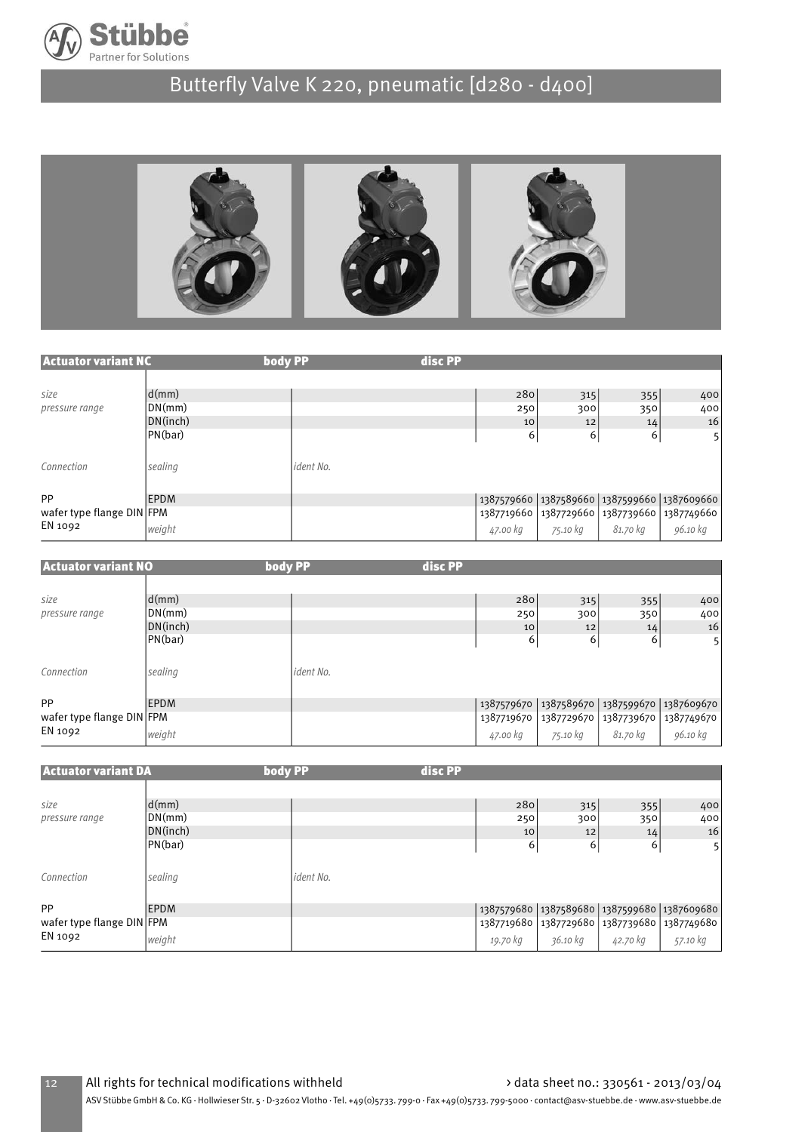



| <b>Actuator variant NC</b>           | body PP     |           | disc PP |          |          |                |                                                   |
|--------------------------------------|-------------|-----------|---------|----------|----------|----------------|---------------------------------------------------|
|                                      |             |           |         |          |          |                |                                                   |
| size                                 | d(mm)       |           |         | 280      | 315      | 355            | 400                                               |
| pressure range                       | DN(mm)      |           |         | 250      | 300      | 350            | 400                                               |
|                                      | DN(inch)    |           |         | 10       | 12       | 14             | 16                                                |
|                                      | PN(bar)     |           |         | 6        | 6        | 6 <sup>1</sup> | 5 <sup>1</sup>                                    |
| Connection                           | sealing     | ident No. |         |          |          |                |                                                   |
| PP                                   | <b>EPDM</b> |           |         |          |          |                | 1387579660 1387589660 1387599660 1387609660       |
| wafer type flange DIN FPM<br>EN 1092 |             |           |         |          |          |                | 1387719660   1387729660   1387739660   1387749660 |
|                                      | weight      |           |         | 47.00 kg | 75.10 kg | 81.70 kg       | 96.10 kg                                          |

| <b>Actuator variant NO</b>                 | body PP                                         |           | disc PP |                  |                                                      |                                                |                  |
|--------------------------------------------|-------------------------------------------------|-----------|---------|------------------|------------------------------------------------------|------------------------------------------------|------------------|
| size<br>pressure range                     | $\mathsf{d}(m\mathsf{m})$<br>DN(mm)<br>DN(inch) |           |         | 280<br>250<br>10 | 315<br>300<br>12                                     | 355<br>350<br>14                               | 400<br>400<br>16 |
| Connection                                 | PN(bar)<br>sealing                              | ident No. |         | 6                | 6                                                    | 6                                              | 5                |
| PP<br>wafer type flange DIN FPM<br>EN 1092 | <b>EPDM</b>                                     |           |         |                  | 1387579670   1387589670  <br>1387719670   1387729670 | 1387599670 1387609670<br>1387739670 1387749670 |                  |
|                                            | weight                                          |           |         | 47.00 kg         | 75.10 kg                                             | 81.70 kg                                       | 96.10 kg         |

| <b>Actuator variant DA</b>           | body PP                   |           | disc PP |          |          |          |                                                   |
|--------------------------------------|---------------------------|-----------|---------|----------|----------|----------|---------------------------------------------------|
|                                      |                           |           |         |          |          |          |                                                   |
| size                                 | $\mathsf{d}(m\mathsf{m})$ |           |         | 280      | 315      | 355      | 400                                               |
| pressure range                       | DN(mm)                    |           |         | 250      | 300      | 350      | 400                                               |
|                                      | DN(inch)                  |           |         | 10       | 12       | 14       | 16                                                |
|                                      | PN(bar)                   |           |         | 6        | 6        | 6        | 5 <sup>1</sup>                                    |
|                                      |                           |           |         |          |          |          |                                                   |
| Connection                           | sealing                   | ident No. |         |          |          |          |                                                   |
|                                      |                           |           |         |          |          |          |                                                   |
| PP                                   | <b>EPDM</b>               |           |         |          |          |          | 1387579680   1387589680   1387599680   1387609680 |
| wafer type flange DIN FPM<br>EN 1092 |                           |           |         |          |          |          | 1387719680   1387729680   1387739680   1387749680 |
|                                      | weight                    |           |         | 19.70 kg | 36.10 kg | 42.70 kg | 57.10 kg                                          |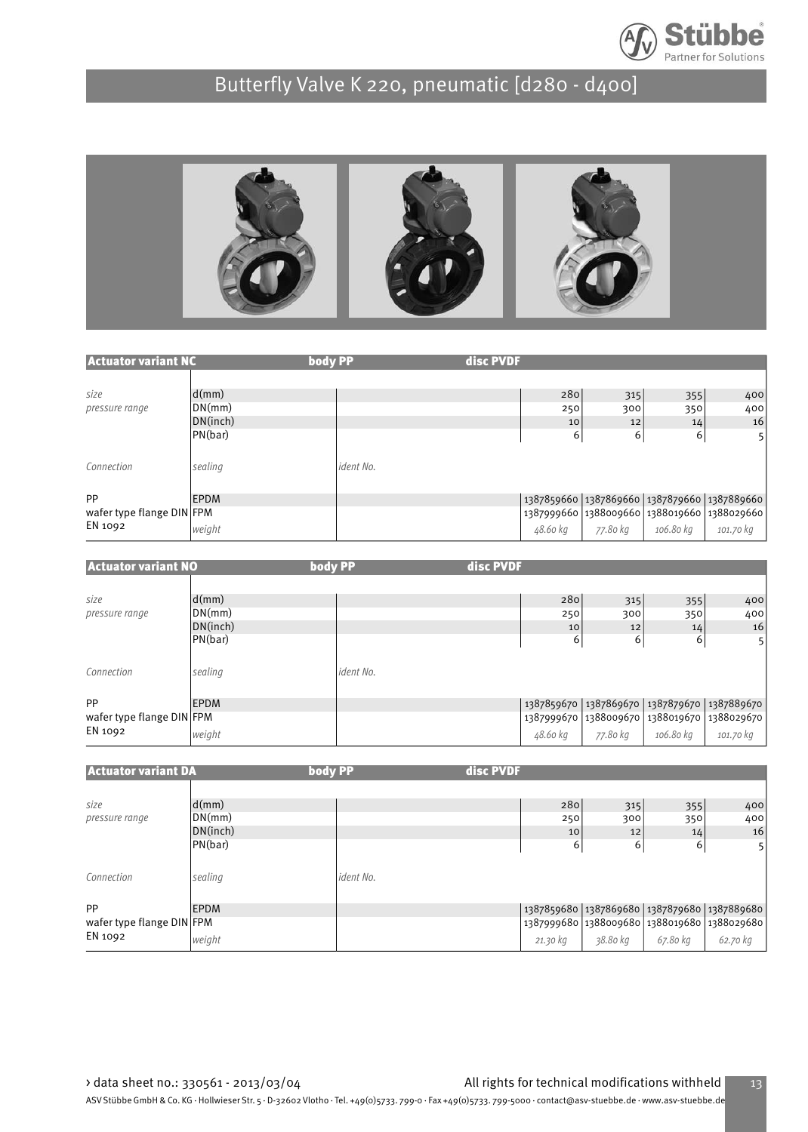



| <b>Actuator variant NC</b> | body PP     |           | disc PVDF |                                                   |           |           |
|----------------------------|-------------|-----------|-----------|---------------------------------------------------|-----------|-----------|
|                            |             |           |           |                                                   |           |           |
| size                       | d(mm)       |           | 280       | 315                                               | 355       | 400       |
| pressure range             | DN(mm)      |           | 250       | 300                                               | 350       | 400       |
|                            | DN(inch)    |           |           | 10<br>12                                          | 14        | 16        |
|                            | PN(bar)     |           |           | 6<br>6                                            | 6         | 5         |
| Connection                 | sealing     | ident No. |           |                                                   |           |           |
| <b>PP</b>                  | <b>EPDM</b> |           |           | 1387859660   1387869660   1387879660   1387889660 |           |           |
| wafer type flange DIN FPM  |             |           |           | 1387999660 1388009660 1388019660 1388029660       |           |           |
| EN 1092                    | weight      |           | 48.60 kg  | 77.80 kg                                          | 106.80 kg | 101.70 kg |

| <b>Actuator variant NO</b>           | body PP     |           | disc PVDF |                                                   |           |                |
|--------------------------------------|-------------|-----------|-----------|---------------------------------------------------|-----------|----------------|
|                                      |             |           |           |                                                   |           |                |
| size                                 | d(mm)       |           | 280       | 315                                               | 355       | 400            |
| pressure range                       | DN(mm)      |           | 250       | 300                                               | 350       | 400            |
|                                      | DN(inch)    |           | 10        | 12                                                | 14        | 16             |
|                                      | PN(bar)     |           | 6         | 6                                                 | 6         | 5 <sup>1</sup> |
| Connection                           | sealing     | ident No. |           |                                                   |           |                |
| PP                                   | <b>EPDM</b> |           |           | 1387859670   1387869670   1387879670   1387889670 |           |                |
| wafer type flange DIN FPM<br>EN 1092 |             |           |           | 1387999670   1388009670   1388019670   1388029670 |           |                |
|                                      | weight      |           | 48.60 kg  | 77.80 kg                                          | 106.80 kg | 101.70 kg      |

| <b>Actuator variant DA</b> | body PP     |           | disc PVDF |                                             |          |                |
|----------------------------|-------------|-----------|-----------|---------------------------------------------|----------|----------------|
|                            |             |           |           |                                             |          |                |
| size                       | d(mm)       |           |           | 280<br>315                                  | 355      | 400            |
| pressure range             | DN(mm)      |           |           | 300<br>250                                  | 350      | 400            |
|                            | DN(inch)    |           |           | 10<br>12                                    | 14       | 16             |
|                            | PN(bar)     |           |           | 6<br>6                                      | 6        | 5 <sup>1</sup> |
| Connection                 | sealing     | ident No. |           |                                             |          |                |
| PP                         | <b>EPDM</b> |           |           | 1387859680 1387869680 1387879680 1387889680 |          |                |
| wafer type flange DIN FPM  |             |           |           | 1387999680 1388009680 1388019680 1388029680 |          |                |
| EN 1092                    | weight      |           | 21.30 kg  | 38.80 kg                                    | 67.80 kg | 62.70 kg       |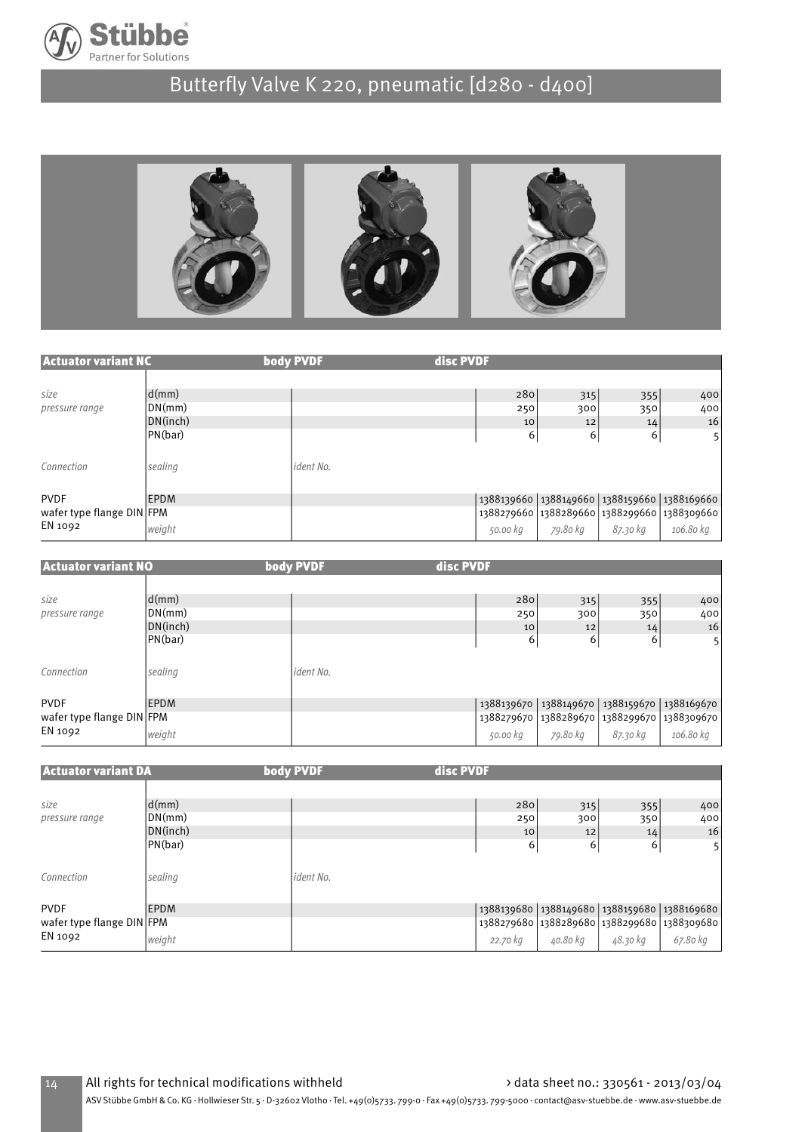



| <b>Actuator variant NC</b> |             | body PVDF | disc PVDF |                                                   |          |                |
|----------------------------|-------------|-----------|-----------|---------------------------------------------------|----------|----------------|
|                            |             |           |           |                                                   |          |                |
| size                       | d(mm)       |           | 280       | 315                                               | 355      | 400            |
| pressure range             | DN(mm)      |           | 250       | 300                                               | 350      | 400            |
|                            | DN(inch)    |           | 10        | 12                                                | 14       | 16             |
|                            | PN(bar)     |           | 6         | 6                                                 | 6        | 5 <sup>1</sup> |
| Connection                 | sealing     | ident No. |           |                                                   |          |                |
| <b>PVDF</b>                | <b>EPDM</b> |           |           | 1388139660   1388149660   1388159660   1388169660 |          |                |
| wafer type flange DIN FPM  |             |           |           | 1388279660 1388289660 1388299660 1388309660       |          |                |
| EN 1092                    | weight      |           | 50.00 kg  | 79.80 kg                                          | 87.30 kg | 106.80 kg      |

| <b>Actuator variant NO</b>                          |                                        | body PVDF | disc PVDF             |                                                                                      |                                   |                       |
|-----------------------------------------------------|----------------------------------------|-----------|-----------------------|--------------------------------------------------------------------------------------|-----------------------------------|-----------------------|
| size<br>pressure range                              | d(mm)<br>DN(mm)<br>DN(inch)<br>PN(bar) |           | 280<br>250<br>10<br>6 | 315<br>300<br>12<br>6                                                                | 355<br>350<br>14<br>6             | 400<br>400<br>16<br>5 |
| Connection                                          | sealing                                | ident No. |                       |                                                                                      |                                   |                       |
| <b>PVDF</b><br>wafer type flange DIN FPM<br>EN 1092 | <b>EPDM</b><br>weight                  |           | 50.00 kg              | 1388139670   1388149670  <br>1388279670 1388289670 1388299670 1388309670<br>79.80 kg | 1388159670 1388169670<br>87.30 kg | 106.80 kg             |

| <b>Actuator variant DA</b> |                           | body PVDF | disc PVDF |                                             |          |                                                   |
|----------------------------|---------------------------|-----------|-----------|---------------------------------------------|----------|---------------------------------------------------|
|                            |                           |           |           |                                             |          |                                                   |
| size                       | $\mathsf{d}(\mathsf{mm})$ |           | 280       | 315                                         | 355      | 400                                               |
| pressure range             | DN(mm)                    |           | 250       | 300                                         | 350      | 400                                               |
|                            | DN(inch)                  |           | 10        | 12                                          | 14       | 16                                                |
|                            | PN(bar)                   |           | 6         | 6                                           | 6        | 5 <sup>1</sup>                                    |
| Connection                 | sealing                   | ident No. |           |                                             |          |                                                   |
| <b>PVDF</b>                | EPDM                      |           |           |                                             |          | 1388139680   1388149680   1388159680   1388169680 |
| wafer type flange DIN FPM  |                           |           |           | 1388279680 1388289680 1388299680 1388309680 |          |                                                   |
| EN 1092                    | weight                    |           | 22.70 kg  | 40.80 kg                                    | 48.30 kg | 67.80 kg                                          |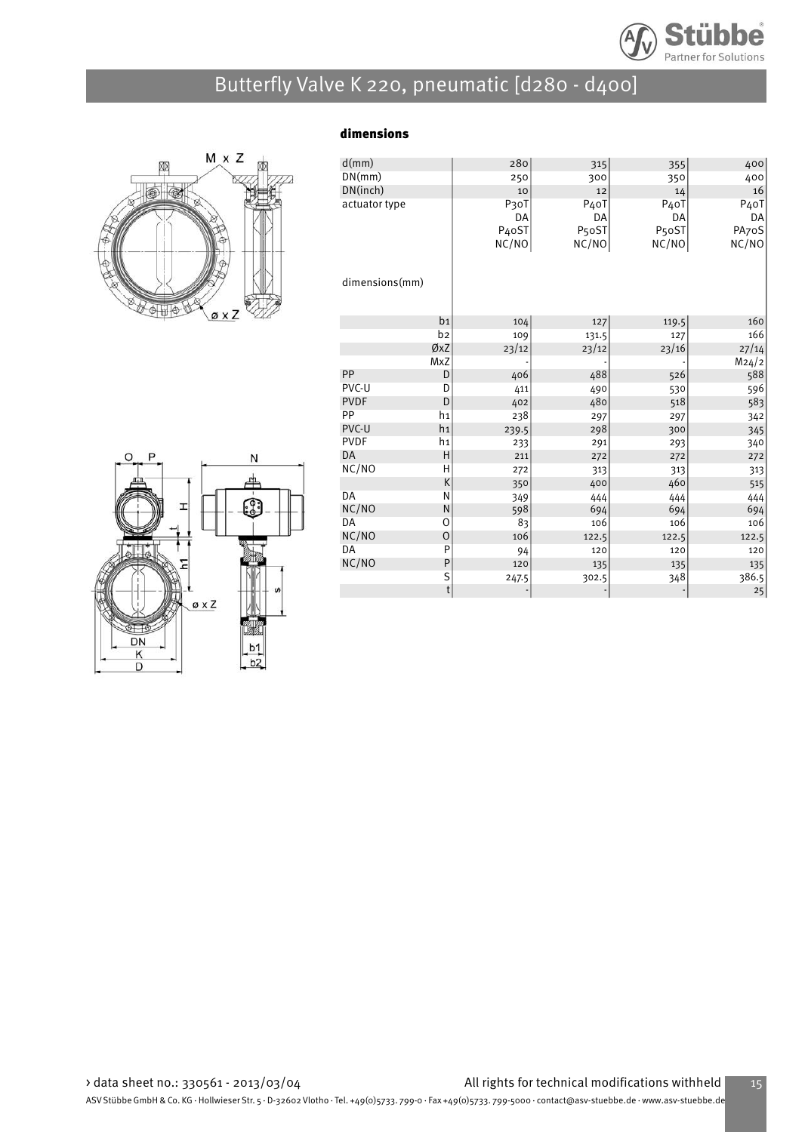

dimensions



| d(mm)          |                | 280                | 315                | 355                | 400               |
|----------------|----------------|--------------------|--------------------|--------------------|-------------------|
| DN(mm)         |                | 250                | 300                | 350                | 400               |
| DN(inch)       |                | 10                 | 12                 | 14                 | 16                |
| actuator type  |                | P3oT               | P <sub>4</sub> oT  | P <sub>4</sub> oT  | P <sub>4</sub> oT |
|                |                | DA                 | DA                 | DA                 | DA                |
|                |                | P <sub>4</sub> oST | P <sub>5</sub> oST | P <sub>5</sub> oST | PA70S             |
|                |                | NC/NO              | NC/NO              | NC/NO              | NC/NO             |
|                |                |                    |                    |                    |                   |
| dimensions(mm) |                |                    |                    |                    |                   |
|                |                |                    |                    |                    |                   |
|                |                |                    |                    |                    |                   |
|                | b <sub>1</sub> | 104                | 127                | 119.5              | 160               |
|                | b2             | 109                | 131.5              | 127                | 166               |
|                | ØxZ            | 23/12              | 23/12              | 23/16              | 27/14             |
|                | <b>MxZ</b>     |                    |                    |                    | M24/2             |
| PP             | D              | 406                | 488                | 526                | 588               |
| PVC-U          | D              | 411                | 490                | 530                | 596               |
| <b>PVDF</b>    | D              | 402                | 480                | 518                | 583               |
| PP             | h1             | 238                | 297                | 297                | 342               |
| PVC-U          | h1             | 239.5              | 298                | 300                | 345               |
| <b>PVDF</b>    | h1             | 233                | 291                | 293                | 340               |
| <b>DA</b>      | Н              | 211                | 272                | 272                | 272               |
| NC/NO          | Η              | 272                | 313                | 313                | 313               |
|                | К              | 350                | 400                | 460                | 515               |
| DA             | Ν              | 349                | 444                | 444                | 444               |
| NC/NO          | N              | 598                | 694                | 694                | 694               |
| DA             | 0              | 83                 | 106                | 106                | 106               |
| NC/NO          | O              | 106                | 122.5              | 122.5              | 122.5             |
| DA             | P              | 94                 | 120                | 120                | 120               |
| NC/NO          | P              | 120                | 135                | 135                | 135               |
|                | S              | 247.5              | 302.5              | 348                | 386.5             |
|                | $\mathfrak t$  |                    |                    |                    | 25                |

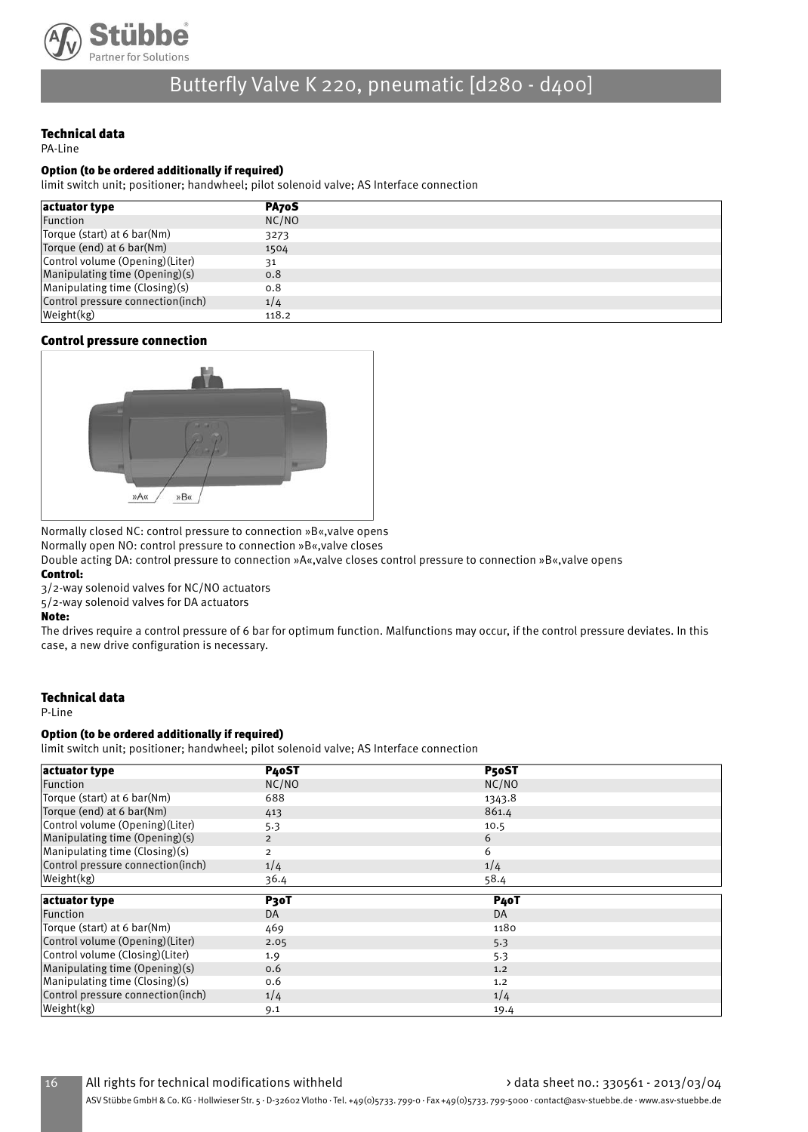

### Technical data

PA-Line

#### Option (to be ordered additionally if required)

limit switch unit; positioner; handwheel; pilot solenoid valve; AS Interface connection

| actuator type                     | PA70S |
|-----------------------------------|-------|
| Function                          | NC/NO |
| Torque (start) at 6 bar(Nm)       | 3273  |
| Torque (end) at 6 bar(Nm)         | 1504  |
| Control volume (Opening) (Liter)  | 31    |
| Manipulating time (Opening)(s)    | 0.8   |
| Manipulating time (Closing)(s)    | 0.8   |
| Control pressure connection(inch) | 1/4   |
| Weight(kg)                        | 118.2 |

#### Control pressure connection



Normally closed NC: control pressure to connection »B«,valve opens

Normally open NO: control pressure to connection »B«,valve closes

Double acting DA: control pressure to connection »A«,valve closes control pressure to connection »B«,valve opens

#### Control:

3/2-way solenoid valves for NC/NO actuators

5/2-way solenoid valves for DA actuators

#### Note:

The drives require a control pressure of 6 bar for optimum function. Malfunctions may occur, if the control pressure deviates. In this case, a new drive configuration is necessary.

#### Technical data

P-Line

#### Option (to be ordered additionally if required)

limit switch unit; positioner; handwheel; pilot solenoid valve; AS Interface connection

| actuator type                                                                                                                                                                          | P <sub>40</sub> ST | P50ST             |  |
|----------------------------------------------------------------------------------------------------------------------------------------------------------------------------------------|--------------------|-------------------|--|
| Function                                                                                                                                                                               | NC/NO              | NC/NO             |  |
|                                                                                                                                                                                        |                    |                   |  |
| Torque (start) at 6 bar(Nm)                                                                                                                                                            | 688                | 1343.8            |  |
| Torque (end) at 6 bar(Nm)                                                                                                                                                              | 413                | 861.4             |  |
| Control volume (Opening)(Liter)                                                                                                                                                        | 5.3                | 10.5              |  |
| Manipulating time (Opening)(s)                                                                                                                                                         | $\overline{2}$     | 6                 |  |
| $M$ anipulating time (Closing)(s)                                                                                                                                                      | $\overline{2}$     | 6                 |  |
| Control pressure connection(inch)                                                                                                                                                      | 1/4                | 1/4               |  |
| Weight(kg)                                                                                                                                                                             | 36.4               | 58.4              |  |
|                                                                                                                                                                                        |                    |                   |  |
|                                                                                                                                                                                        |                    |                   |  |
| actuator type                                                                                                                                                                          | P <sub>3</sub> oT  | P <sub>4</sub> oT |  |
|                                                                                                                                                                                        | <b>DA</b>          | DA                |  |
|                                                                                                                                                                                        | 469                | 1180              |  |
|                                                                                                                                                                                        | 2.05               | 5.3               |  |
|                                                                                                                                                                                        | 1.9                | 5.3               |  |
|                                                                                                                                                                                        | 0.6                | 1.2               |  |
| Function<br>Torque (start) at 6 bar(Nm)<br>Control volume (Opening) (Liter)<br>Control volume (Closing) (Liter)<br>Manipulating time (Opening)(s)<br>$M$ anipulating time (Closing)(s) | 0.6                | 1.2               |  |
| Control pressure connection(inch)                                                                                                                                                      | 1/4                | 1/4               |  |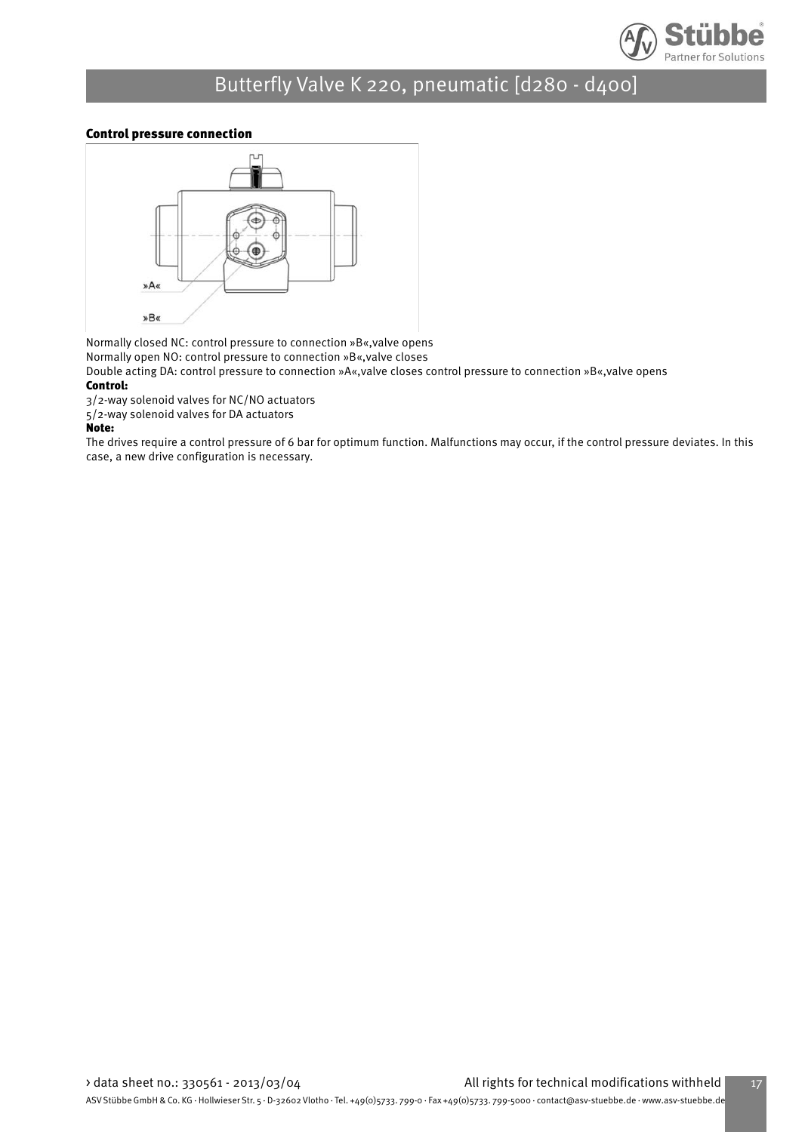

### Control pressure connection



Normally closed NC: control pressure to connection »B«,valve opens

Normally open NO: control pressure to connection »B«,valve closes

Double acting DA: control pressure to connection »A«,valve closes control pressure to connection »B«,valve opens

### Control:

3/2-way solenoid valves for NC/NO actuators

5/2-way solenoid valves for DA actuators

#### Note:

The drives require a control pressure of 6 bar for optimum function. Malfunctions may occur, if the control pressure deviates. In this case, a new drive configuration is necessary.